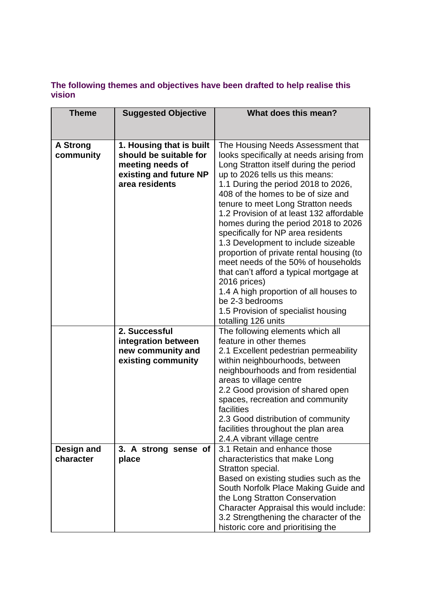## **The following themes and objectives have been drafted to help realise this vision**

| <b>Theme</b>                 | <b>Suggested Objective</b>                         | What does this mean?                                                            |
|------------------------------|----------------------------------------------------|---------------------------------------------------------------------------------|
|                              |                                                    |                                                                                 |
|                              |                                                    |                                                                                 |
| <b>A Strong</b><br>community | 1. Housing that is built<br>should be suitable for | The Housing Needs Assessment that<br>looks specifically at needs arising from   |
|                              | meeting needs of                                   | Long Stratton itself during the period                                          |
|                              | existing and future NP                             | up to 2026 tells us this means:                                                 |
|                              | area residents                                     | 1.1 During the period 2018 to 2026,                                             |
|                              |                                                    | 408 of the homes to be of size and                                              |
|                              |                                                    | tenure to meet Long Stratton needs                                              |
|                              |                                                    | 1.2 Provision of at least 132 affordable                                        |
|                              |                                                    | homes during the period 2018 to 2026                                            |
|                              |                                                    | specifically for NP area residents                                              |
|                              |                                                    | 1.3 Development to include sizeable<br>proportion of private rental housing (to |
|                              |                                                    | meet needs of the 50% of households                                             |
|                              |                                                    | that can't afford a typical mortgage at                                         |
|                              |                                                    | 2016 prices)                                                                    |
|                              |                                                    | 1.4 A high proportion of all houses to                                          |
|                              |                                                    | be 2-3 bedrooms                                                                 |
|                              |                                                    | 1.5 Provision of specialist housing                                             |
|                              | 2. Successful                                      | totalling 126 units<br>The following elements which all                         |
|                              | integration between                                | feature in other themes                                                         |
|                              | new community and                                  | 2.1 Excellent pedestrian permeability                                           |
|                              | existing community                                 | within neighbourhoods, between                                                  |
|                              |                                                    | neighbourhoods and from residential                                             |
|                              |                                                    | areas to village centre                                                         |
|                              |                                                    | 2.2 Good provision of shared open                                               |
|                              |                                                    | spaces, recreation and community<br>facilities                                  |
|                              |                                                    | 2.3 Good distribution of community                                              |
|                              |                                                    | facilities throughout the plan area                                             |
|                              |                                                    | 2.4.A vibrant village centre                                                    |
| Design and                   | 3. A strong sense of                               | 3.1 Retain and enhance those                                                    |
| character                    | place                                              | characteristics that make Long                                                  |
|                              |                                                    | Stratton special.                                                               |
|                              |                                                    | Based on existing studies such as the<br>South Norfolk Place Making Guide and   |
|                              |                                                    | the Long Stratton Conservation                                                  |
|                              |                                                    | Character Appraisal this would include:                                         |
|                              |                                                    | 3.2 Strengthening the character of the                                          |
|                              |                                                    | historic core and prioritising the                                              |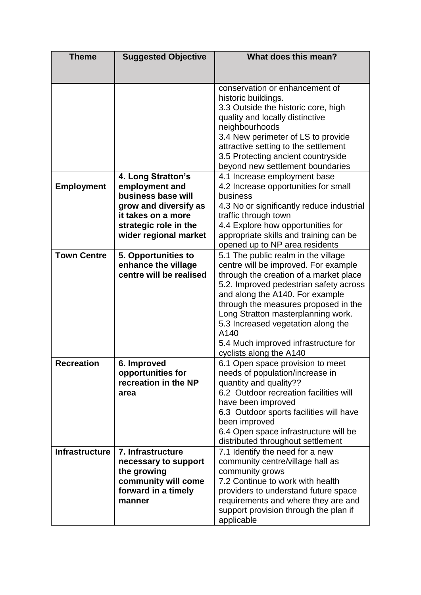| <b>Theme</b>          | <b>Suggested Objective</b>         | What does this mean?                                                       |
|-----------------------|------------------------------------|----------------------------------------------------------------------------|
|                       |                                    |                                                                            |
|                       |                                    |                                                                            |
|                       |                                    | conservation or enhancement of                                             |
|                       |                                    | historic buildings.                                                        |
|                       |                                    | 3.3 Outside the historic core, high                                        |
|                       |                                    | quality and locally distinctive                                            |
|                       |                                    | neighbourhoods                                                             |
|                       |                                    | 3.4 New perimeter of LS to provide<br>attractive setting to the settlement |
|                       |                                    | 3.5 Protecting ancient countryside                                         |
|                       |                                    | beyond new settlement boundaries                                           |
|                       | 4. Long Stratton's                 | 4.1 Increase employment base                                               |
| <b>Employment</b>     | employment and                     | 4.2 Increase opportunities for small                                       |
|                       | business base will                 | business                                                                   |
|                       | grow and diversify as              | 4.3 No or significantly reduce industrial                                  |
|                       | it takes on a more                 | traffic through town                                                       |
|                       | strategic role in the              | 4.4 Explore how opportunities for                                          |
|                       | wider regional market              | appropriate skills and training can be                                     |
|                       |                                    | opened up to NP area residents                                             |
| <b>Town Centre</b>    | 5. Opportunities to                | 5.1 The public realm in the village                                        |
|                       | enhance the village                | centre will be improved. For example                                       |
|                       | centre will be realised            | through the creation of a market place                                     |
|                       |                                    | 5.2. Improved pedestrian safety across                                     |
|                       |                                    | and along the A140. For example                                            |
|                       |                                    | through the measures proposed in the                                       |
|                       |                                    | Long Stratton masterplanning work.<br>5.3 Increased vegetation along the   |
|                       |                                    | A140                                                                       |
|                       |                                    | 5.4 Much improved infrastructure for                                       |
|                       |                                    | cyclists along the A140                                                    |
| <b>Recreation</b>     | 6. Improved                        | 6.1 Open space provision to meet                                           |
|                       | opportunities for                  | needs of population/increase in                                            |
|                       | recreation in the NP               | quantity and quality??                                                     |
|                       | area                               | 6.2 Outdoor recreation facilities will                                     |
|                       |                                    | have been improved                                                         |
|                       |                                    | 6.3 Outdoor sports facilities will have                                    |
|                       |                                    | been improved                                                              |
|                       |                                    | 6.4 Open space infrastructure will be                                      |
|                       |                                    | distributed throughout settlement                                          |
| <b>Infrastructure</b> | 7. Infrastructure                  | 7.1 Identify the need for a new                                            |
|                       | necessary to support               | community centre/village hall as                                           |
|                       | the growing<br>community will come | community grows<br>7.2 Continue to work with health                        |
|                       | forward in a timely                | providers to understand future space                                       |
|                       | manner                             | requirements and where they are and                                        |
|                       |                                    | support provision through the plan if                                      |
|                       |                                    | applicable                                                                 |